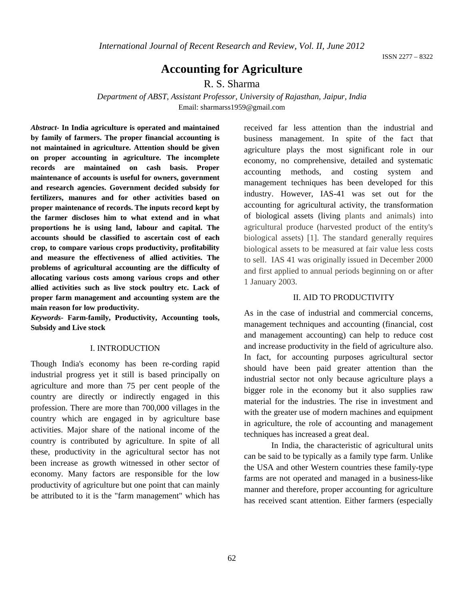ISSN 2277 – 8322

# **Accounting for Agriculture**

R. S. Sharma

*Department of ABST, Assistant Professor, University of Rajasthan, Jaipur, India* Email: sharmarss1959@gmail.com

*Abstract-* **In India agriculture is operated and maintained by family of farmers. The proper financial accounting is not maintained in agriculture. Attention should be given on proper accounting in agriculture. The incomplete records are maintained on cash basis. Proper maintenance of accounts is useful for owners, government and research agencies. Government decided subsidy for fertilizers, manures and for other activities based on proper maintenance of records. The inputs record kept by the farmer discloses him to what extend and in what proportions he is using land, labour and capital. The accounts should be classified to ascertain cost of each crop, to compare various crops productivity, profitability and measure the effectiveness of allied activities. The problems of agricultural accounting are the difficulty of allocating various costs among various crops and other allied activities such as live stock poultry etc. Lack of proper farm management and accounting system are the main reason for low productivity.**

*Keywords-* **Farm-family, Productivity, Accounting tools, Subsidy and Live stock**

#### I. INTRODUCTION

Though India's economy has been re-cording rapid industrial progress yet it still is based principally on agriculture and more than 75 per cent people of the country are directly or indirectly engaged in this profession. There are more than 700,000 villages in the country which are engaged in by agriculture base activities. Major share of the national income of the country is contributed by agriculture. In spite of all these, productivity in the agricultural sector has not been increase as growth witnessed in other sector of economy. Many factors are responsible for the low productivity of agriculture but one point that can mainly be attributed to it is the "farm management" which has

received far less attention than the industrial and business management. In spite of the fact that agriculture plays the most significant role in our economy, no comprehensive, detailed and systematic accounting methods, and costing system and management techniques has been developed for this industry. However, IAS-41 was set out for the accounting for agricultural activity, the transformation of biological assets (living plants and animals) into agricultural produce (harvested product of the entity's biological assets) [1]. The standard generally requires biological assets to be measured at fair value less costs to sell. IAS 41 was originally issued in December 2000 and first applied to annual periods beginning on or after 1 January 2003.

### II. AID TO PRODUCTIVITY

As in the case of industrial and commercial concerns, management techniques and accounting (financial, cost and management accounting) can help to reduce cost and increase productivity in the field of agriculture also. In fact, for accounting purposes agricultural sector should have been paid greater attention than the industrial sector not only because agriculture plays a bigger role in the economy but it also supplies raw material for the industries. The rise in investment and with the greater use of modern machines and equipment in agriculture, the role of accounting and management techniques has increased a great deal.

In India, the characteristic of agricultural units can be said to be typically as a family type farm. Unlike the USA and other Western countries these family-type farms are not operated and managed in a business-like manner and therefore, proper accounting for agriculture has received scant attention. Either farmers (especially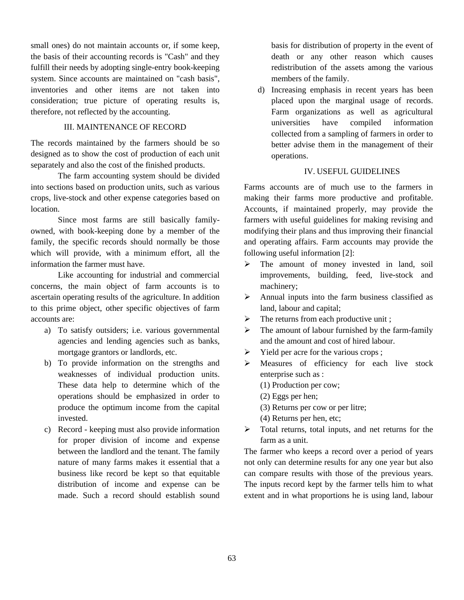small ones) do not maintain accounts or, if some keep, the basis of their accounting records is "Cash" and they fulfill their needs by adopting single-entry book-keeping system. Since accounts are maintained on "cash basis", inventories and other items are not taken into consideration; true picture of operating results is, therefore, not reflected by the accounting.

## III. MAINTENANCE OF RECORD

The records maintained by the farmers should be so designed as to show the cost of production of each unit separately and also the cost of the finished products.

The farm accounting system should be divided into sections based on production units, such as various crops, live-stock and other expense categories based on location.

Since most farms are still basically familyowned, with book-keeping done by a member of the family, the specific records should normally be those which will provide, with a minimum effort, all the information the farmer must have.

Like accounting for industrial and commercial concerns, the main object of farm accounts is to ascertain operating results of the agriculture. In addition to this prime object, other specific objectives of farm accounts are:

- a) To satisfy outsiders; i.e. various governmental agencies and lending agencies such as banks, mortgage grantors or landlords, etc.
- b) To provide information on the strengths and weaknesses of individual production units. These data help to determine which of the operations should be emphasized in order to produce the optimum income from the capital invested.
- c) Record keeping must also provide information for proper division of income and expense between the landlord and the tenant. The family nature of many farms makes it essential that a business like record be kept so that equitable distribution of income and expense can be made. Such a record should establish sound

basis for distribution of property in the event of death or any other reason which causes redistribution of the assets among the various members of the family.

d) Increasing emphasis in recent years has been placed upon the marginal usage of records. Farm organizations as well as agricultural universities have compiled information collected from a sampling of farmers in order to better advise them in the management of their operations.

## IV. USEFUL GUIDELINES

Farms accounts are of much use to the farmers in making their farms more productive and profitable. Accounts, if maintained properly, may provide the farmers with useful guidelines for making revising and modifying their plans and thus improving their financial and operating affairs. Farm accounts may provide the following useful information [2]:

- > The amount of money invested in land, soil improvements, building, feed, live-stock and machinery;
- $\triangleright$  Annual inputs into the farm business classified as land, labour and capital;
- $\triangleright$  The returns from each productive unit;
- $\triangleright$  The amount of labour furnished by the farm-family and the amount and cost of hired labour.
- $\triangleright$  Yield per acre for the various crops ;
- Measures of efficiency for each live stock enterprise such as :
	- (1) Production per cow;
	- (2) Eggs per hen;
	- (3) Returns per cow or per litre;
	- (4) Returns per hen, etc;
- $\triangleright$  Total returns, total inputs, and net returns for the farm as a unit.

The farmer who keeps a record over a period of years not only can determine results for any one year but also can compare results with those of the previous years. The inputs record kept by the farmer tells him to what extent and in what proportions he is using land, labour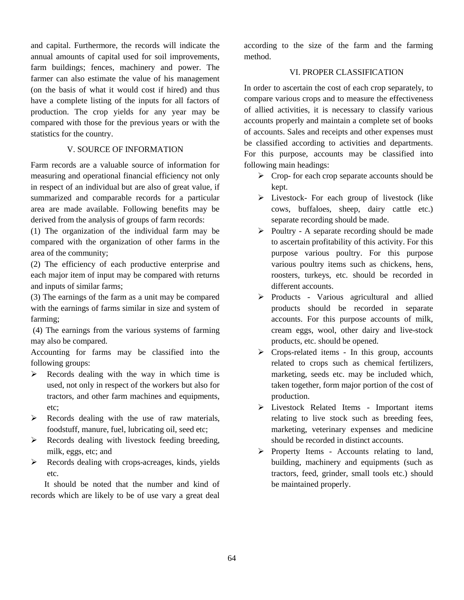and capital. Furthermore, the records will indicate the annual amounts of capital used for soil improvements, farm buildings; fences, machinery and power. The farmer can also estimate the value of his management (on the basis of what it would cost if hired) and thus have a complete listing of the inputs for all factors of production. The crop yields for any year may be compared with those for the previous years or with the statistics for the country.

## V. SOURCE OF INFORMATION

Farm records are a valuable source of information for measuring and operational financial efficiency not only in respect of an individual but are also of great value, if summarized and comparable records for a particular area are made available. Following benefits may be derived from the analysis of groups of farm records:

(1) The organization of the individual farm may be compared with the organization of other farms in the area of the community;

(2) The efficiency of each productive enterprise and each major item of input may be compared with returns and inputs of similar farms;

(3) The earnings of the farm as a unit may be compared with the earnings of farms similar in size and system of farming;

(4) The earnings from the various systems of farming may also be compared.

Accounting for farms may be classified into the following groups:

- $\triangleright$  Records dealing with the way in which time is used, not only in respect of the workers but also for tractors, and other farm machines and equipments, etc;
- $\triangleright$  Records dealing with the use of raw materials, foodstuff, manure, fuel, lubricating oil, seed etc;
- Records dealing with livestock feeding breeding, milk, eggs, etc; and
- Records dealing with crops-acreages, kinds, yields etc.

It should be noted that the number and kind of records which are likely to be of use vary a great deal

according to the size of the farm and the farming method.

# VI. PROPER CLASSIFICATION

In order to ascertain the cost of each crop separately, to compare various crops and to measure the effectiveness of allied activities, it is necessary to classify various accounts properly and maintain a complete set of books of accounts. Sales and receipts and other expenses must be classified according to activities and departments. For this purpose, accounts may be classified into following main headings:

- $\triangleright$  Crop- for each crop separate accounts should be kept.
- Livestock- For each group of livestock (like cows, buffaloes, sheep, dairy cattle etc.) separate recording should be made.
- $\triangleright$  Poultry A separate recording should be made to ascertain profitability of this activity. For this purpose various poultry. For this purpose various poultry items such as chickens, hens, roosters, turkeys, etc. should be recorded in different accounts.
- Products Various agricultural and allied products should be recorded in separate accounts. For this purpose accounts of milk, cream eggs, wool, other dairy and live-stock products, etc. should be opened.
- $\triangleright$  Crops-related items In this group, accounts related to crops such as chemical fertilizers, marketing, seeds etc. may be included which, taken together, form major portion of the cost of production.
- Livestock Related Items Important items relating to live stock such as breeding fees, marketing, veterinary expenses and medicine should be recorded in distinct accounts.
- $\triangleright$  Property Items Accounts relating to land, building, machinery and equipments (such as tractors, feed, grinder, small tools etc.) should be maintained properly.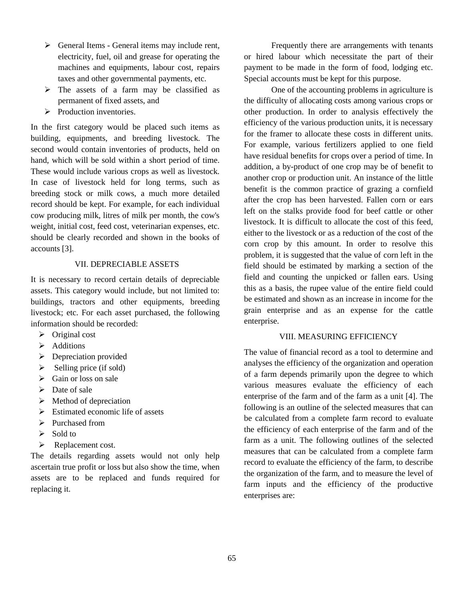- $\triangleright$  General Items General items may include rent, electricity, fuel, oil and grease for operating the machines and equipments, labour cost, repairs taxes and other governmental payments, etc.
- $\triangleright$  The assets of a farm may be classified as permanent of fixed assets, and
- $\triangleright$  Production inventories.

In the first category would be placed such items as building, equipments, and breeding livestock. The second would contain inventories of products, held on hand, which will be sold within a short period of time. These would include various crops as well as livestock. In case of livestock held for long terms, such as breeding stock or milk cows, a much more detailed record should be kept. For example, for each individual cow producing milk, litres of milk per month, the cow's weight, initial cost, feed cost, veterinarian expenses, etc. should be clearly recorded and shown in the books of accounts [3].

### VII. DEPRECIABLE ASSETS

It is necessary to record certain details of depreciable assets. This category would include, but not limited to: buildings, tractors and other equipments, breeding livestock; etc. For each asset purchased, the following information should be recorded:

- $\triangleright$  Original cost
- $\triangleright$  Additions
- $\triangleright$  Depreciation provided
- $\triangleright$  Selling price (if sold)
- $\triangleright$  Gain or loss on sale
- $\triangleright$  Date of sale
- $\triangleright$  Method of depreciation
- $\triangleright$  Estimated economic life of assets
- $\triangleright$  Purchased from
- $\triangleright$  Sold to
- P Replacement cost.

The details regarding assets would not only help ascertain true profit or loss but also show the time, when assets are to be replaced and funds required for replacing it.

Frequently there are arrangements with tenants or hired labour which necessitate the part of their payment to be made in the form of food, lodging etc. Special accounts must be kept for this purpose.

One of the accounting problems in agriculture is the difficulty of allocating costs among various crops or other production. In order to analysis effectively the efficiency of the various production units, it is necessary for the framer to allocate these costs in different units. For example, various fertilizers applied to one field have residual benefits for crops over a period of time. In addition, a by-product of one crop may be of benefit to another crop or production unit. An instance of the little benefit is the common practice of grazing a cornfield after the crop has been harvested. Fallen corn or ears left on the stalks provide food for beef cattle or other livestock. It is difficult to allocate the cost of this feed, either to the livestock or as a reduction of the cost of the corn crop by this amount. In order to resolve this problem, it is suggested that the value of corn left in the field should be estimated by marking a section of the field and counting the unpicked or fallen ears. Using this as a basis, the rupee value of the entire field could be estimated and shown as an increase in income for the grain enterprise and as an expense for the cattle enterprise.

#### VIII. MEASURING EFFICIENCY

The value of financial record as a tool to determine and analyses the efficiency of the organization and operation of a farm depends primarily upon the degree to which various measures evaluate the efficiency of each enterprise of the farm and of the farm as a unit [4]. The following is an outline of the selected measures that can be calculated from a complete farm record to evaluate the efficiency of each enterprise of the farm and of the farm as a unit. The following outlines of the selected measures that can be calculated from a complete farm record to evaluate the efficiency of the farm, to describe the organization of the farm, and to measure the level of farm inputs and the efficiency of the productive enterprises are: